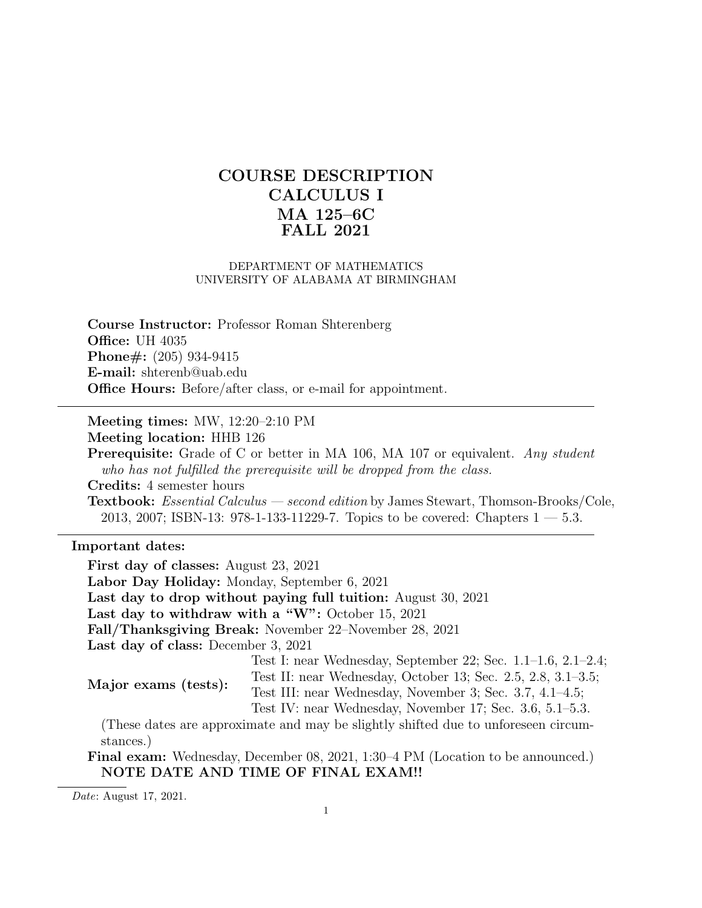# COURSE DESCRIPTION CALCULUS I MA 125–6C FALL 2021

#### DEPARTMENT OF MATHEMATICS UNIVERSITY OF ALABAMA AT BIRMINGHAM

Course Instructor: Professor Roman Shterenberg **Office: UH 4035** Phone#: (205) 934-9415 E-mail: shterenb@uab.edu Office Hours: Before/after class, or e-mail for appointment.

Meeting times: MW, 12:20–2:10 PM

Meeting location: HHB 126

Prerequisite: Grade of C or better in MA 106, MA 107 or equivalent. Any student who has not fulfilled the prerequisite will be dropped from the class. Credits: 4 semester hours Textbook: Essential Calculus — second edition by James Stewart, Thomson-Brooks/Cole, 2013, 2007; ISBN-13: 978-1-133-11229-7. Topics to be covered: Chapters 1 — 5.3.

## Important dates:

First day of classes: August 23, 2021 Labor Day Holiday: Monday, September 6, 2021 Last day to drop without paying full tuition: August 30, 2021 Last day to withdraw with a "W": October 15, 2021 Fall/Thanksgiving Break: November 22–November 28, 2021 Last day of class: December 3, 2021 Major exams (tests): Test I: near Wednesday, September 22; Sec. 1.1–1.6, 2.1–2.4; Test II: near Wednesday, October 13; Sec. 2.5, 2.8, 3.1–3.5; Test III: near Wednesday, November 3; Sec. 3.7, 4.1–4.5; Test IV: near Wednesday, November 17; Sec. 3.6, 5.1–5.3. (These dates are approximate and may be slightly shifted due to unforeseen circumstances.)

Final exam: Wednesday, December 08, 2021, 1:30–4 PM (Location to be announced.) NOTE DATE AND TIME OF FINAL EXAM!!

Date: August 17, 2021.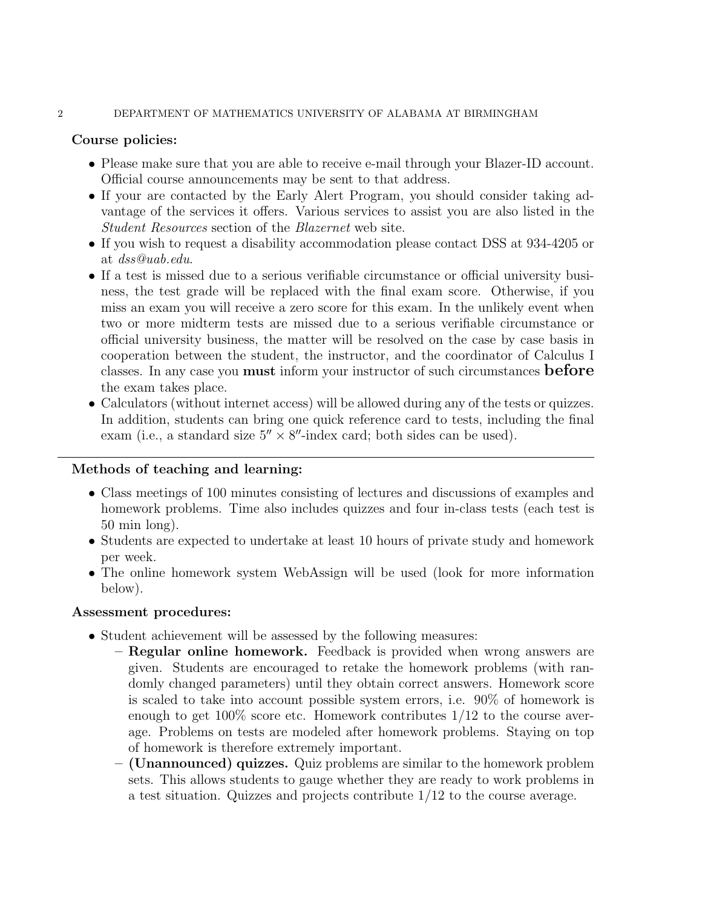### 2 DEPARTMENT OF MATHEMATICS UNIVERSITY OF ALABAMA AT BIRMINGHAM

# Course policies:

- Please make sure that you are able to receive e-mail through your Blazer-ID account. Official course announcements may be sent to that address.
- If your are contacted by the Early Alert Program, you should consider taking advantage of the services it offers. Various services to assist you are also listed in the Student Resources section of the Blazernet web site.
- If you wish to request a disability accommodation please contact DSS at 934-4205 or at dss@uab.edu.
- If a test is missed due to a serious verifiable circumstance or official university business, the test grade will be replaced with the final exam score. Otherwise, if you miss an exam you will receive a zero score for this exam. In the unlikely event when two or more midterm tests are missed due to a serious verifiable circumstance or official university business, the matter will be resolved on the case by case basis in cooperation between the student, the instructor, and the coordinator of Calculus I classes. In any case you **must** inform your instructor of such circumstances **before** the exam takes place.
- Calculators (without internet access) will be allowed during any of the tests or quizzes. In addition, students can bring one quick reference card to tests, including the final exam (i.e., a standard size  $5'' \times 8''$ -index card; both sides can be used).

# Methods of teaching and learning:

- Class meetings of 100 minutes consisting of lectures and discussions of examples and homework problems. Time also includes quizzes and four in-class tests (each test is 50 min long).
- Students are expected to undertake at least 10 hours of private study and homework per week.
- The online homework system WebAssign will be used (look for more information below).

## Assessment procedures:

- Student achievement will be assessed by the following measures:
	- Regular online homework. Feedback is provided when wrong answers are given. Students are encouraged to retake the homework problems (with randomly changed parameters) until they obtain correct answers. Homework score is scaled to take into account possible system errors, i.e. 90% of homework is enough to get  $100\%$  score etc. Homework contributes  $1/12$  to the course average. Problems on tests are modeled after homework problems. Staying on top of homework is therefore extremely important.
	- (Unannounced) quizzes. Quiz problems are similar to the homework problem sets. This allows students to gauge whether they are ready to work problems in a test situation. Quizzes and projects contribute 1/12 to the course average.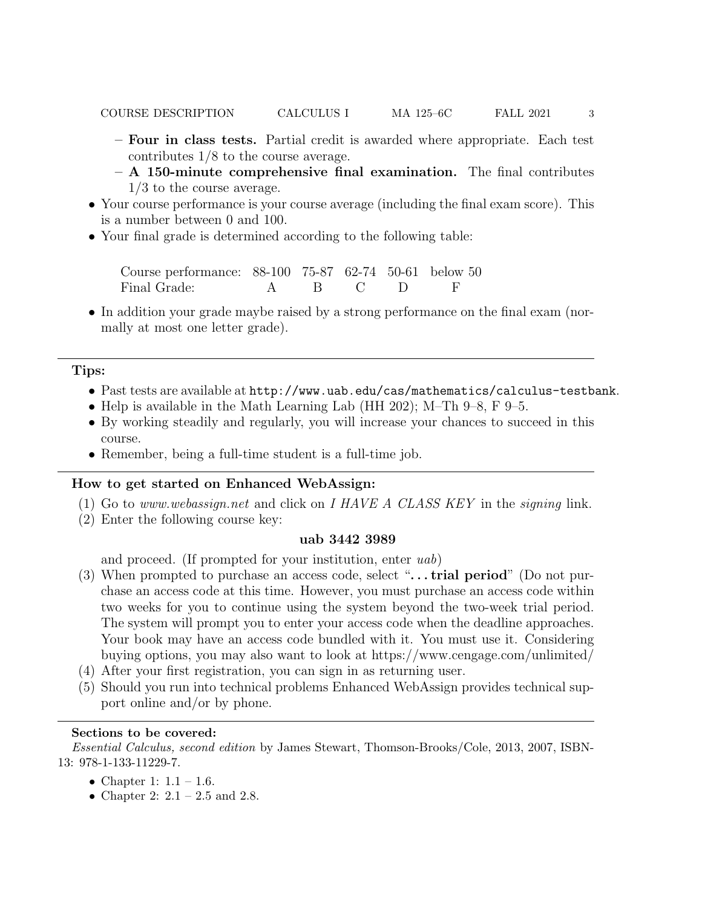- Four in class tests. Partial credit is awarded where appropriate. Each test contributes 1/8 to the course average.
- $A$  150-minute comprehensive final examination. The final contributes 1/3 to the course average.
- Your course performance is your course average (including the final exam score). This is a number between 0 and 100.
- Your final grade is determined according to the following table:

Course performance: 88-100 75-87 62-74 50-61 below 50 Final Grade: A B C D F

• In addition your grade maybe raised by a strong performance on the final exam (normally at most one letter grade).

### Tips:

- Past tests are available at http://www.uab.edu/cas/mathematics/calculus-testbank.
- Help is available in the Math Learning Lab (HH 202); M–Th 9–8, F 9–5.
- By working steadily and regularly, you will increase your chances to succeed in this course.
- Remember, being a full-time student is a full-time job.

#### How to get started on Enhanced WebAssign:

- (1) Go to www.webassign.net and click on I HAVE A CLASS KEY in the signing link.
- (2) Enter the following course key:

#### uab 3442 3989

and proceed. (If prompted for your institution, enter uab)

- (3) When prompted to purchase an access code, select " $\ldots$  trial period" (Do not purchase an access code at this time. However, you must purchase an access code within two weeks for you to continue using the system beyond the two-week trial period. The system will prompt you to enter your access code when the deadline approaches. Your book may have an access code bundled with it. You must use it. Considering buying options, you may also want to look at https://www.cengage.com/unlimited/
- (4) After your first registration, you can sign in as returning user.
- (5) Should you run into technical problems Enhanced WebAssign provides technical support online and/or by phone.

## Sections to be covered:

Essential Calculus, second edition by James Stewart, Thomson-Brooks/Cole, 2013, 2007, ISBN-13: 978-1-133-11229-7.

- Chapter 1:  $1.1 1.6$ .
- Chapter 2:  $2.1 2.5$  and 2.8.